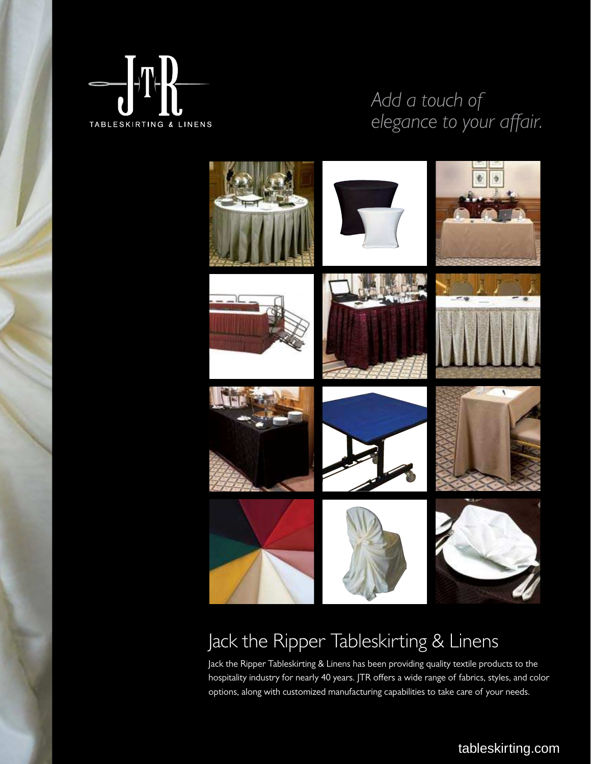

### *Add a touch of*  elegance to your affair.



### Jack the Ripper Tableskirting & Linens

Jack the Ripper Tableskirting & Linens has been providing quality textile products to the hospitality industry for nearly 40 years. JTR offers a wide range of fabrics, styles, and color options, along with customized manufacturing capabilities to take care of your needs.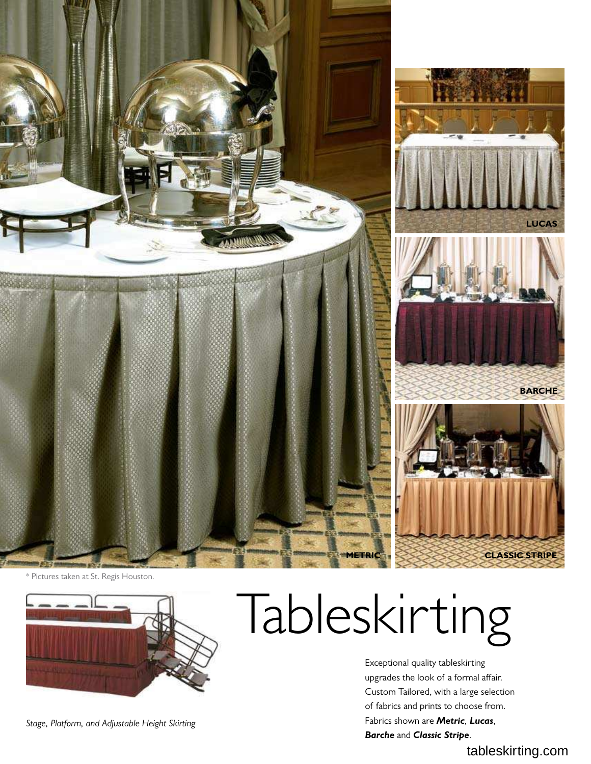

\* Pictures taken at St. Regis Houston.



*Stage, Platform, and Adjustable Height Skirting* 

# Tableskirting

Exceptional quality tableskirting upgrades the look of a formal affair. Custom Tailored, with a large selection of fabrics and prints to choose from. Fabrics shown are *Metric*, *Lucas*, *Barche* and *Classic Stripe*.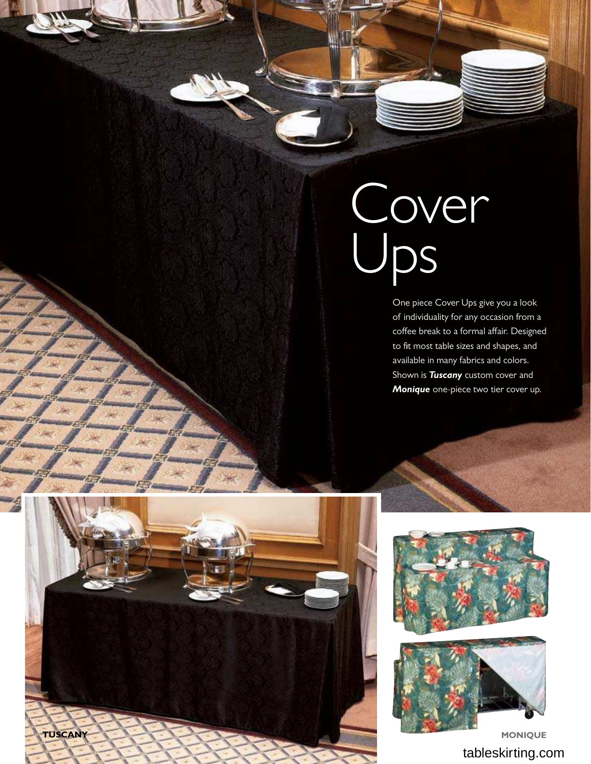## Cover Ups

One piece Cover Ups give you a look of individuality for any occasion from a coffee break to a formal affair. Designed to fit most table sizes and shapes, and available in many fabrics and colors. Shown is *Tuscany* custom cover and *Monique* one-piece two tier cover up.





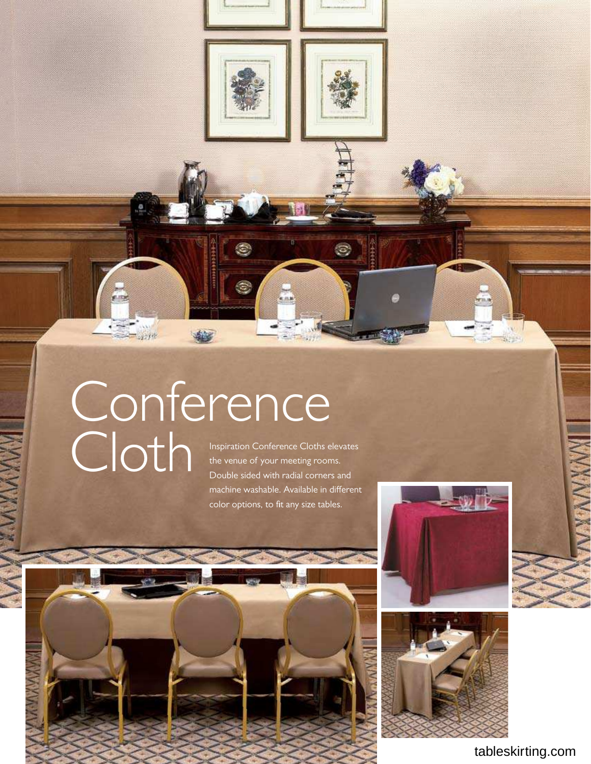

۳

 $\epsilon$ 



 $\circledcirc$ 

### Inspiration Conference Cloths elevates Conference Cloth

pum

 $\frac{1}{2}$ 

the venue of your meeting rooms. Double sided with radial corners and machine washable. Available in diferent color options, to fit any size tables.



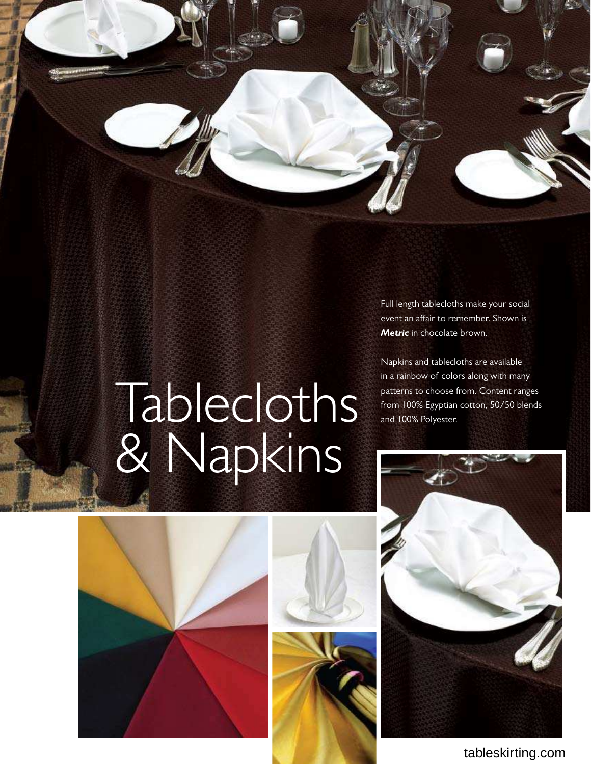Full length tablecloths make your social event an affair to remember. Shown is *Metric* in chocolate brown.

Napkins and tablecloths are available in a rainbow of colors along with many patterns to choose from. Content ranges from 100% Egyptian cotton, 50/50 blends and 100% Polyester.

## Tablecloths & Napkins







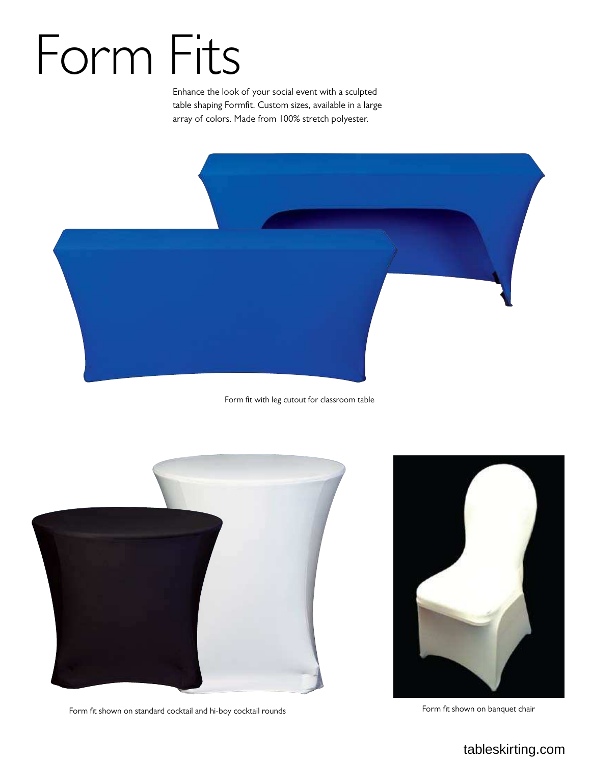# Form Fits

Enhance the look of your social event with a sculpted table shaping Formit. Custom sizes, available in a large array of colors. Made from 100% stretch polyester.



Form fit with leg cutout for classroom table



Form fit shown on standard cocktail and hi-boy cocktail rounds Form fit shown on banquet chair

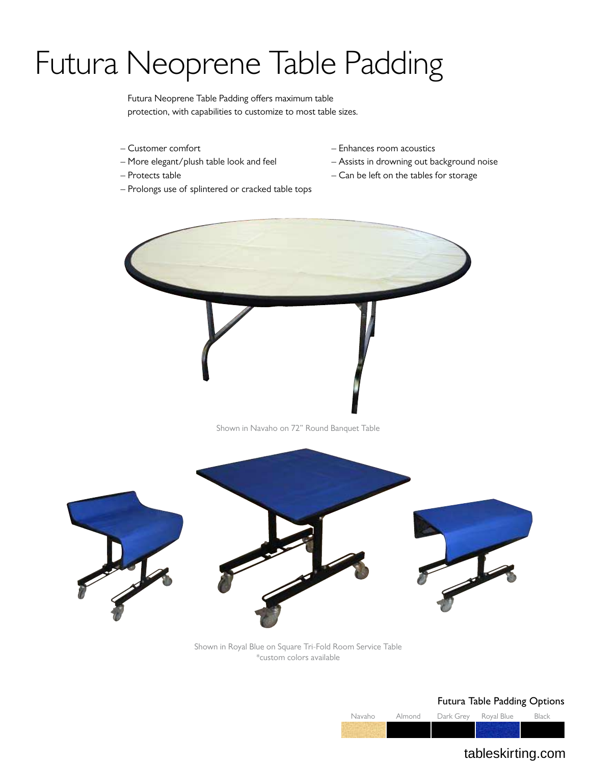### Futura Neoprene Table Padding

Futura Neoprene Table Padding offers maximum table protection, with capabilities to customize to most table sizes.

- Customer comfort
- More elegant/plush table look and feel
- Protects table
- Prolongs use of splintered or cracked table tops
- Enhances room acoustics
- Assists in drowning out background noise
- Can be left on the tables for storage





Shown in Royal Blue on Square Tri-Fold Room Service Table \*custom colors available

#### Futura Table Padding Options

Navaho Almond Dark Grey Royal Blue Black